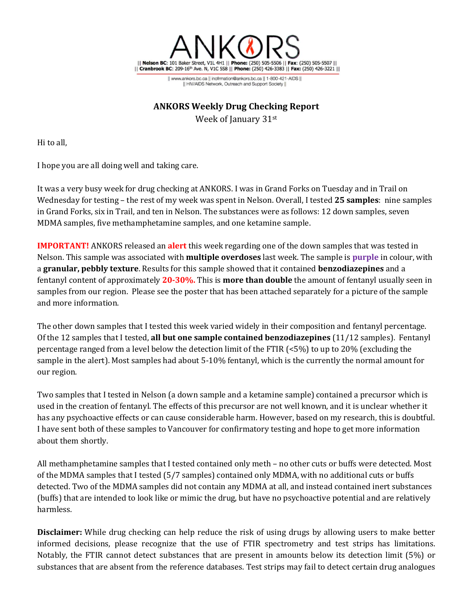

|| www.ankors.bc.ca || inofrmation@ankors.bc.ca || 1-800-421-AIDS || Il HIV/AIDS Network, Outreach and Support Society II

## **ANKORS Weekly Drug Checking Report**

Week of January 31st

Hi to all,

I hope you are all doing well and taking care.

It was a very busy week for drug checking at ANKORS. I was in Grand Forks on Tuesday and in Trail on Wednesday for testing – the rest of my week was spent in Nelson. Overall, I tested **25 samples**: nine samples in Grand Forks, six in Trail, and ten in Nelson. The substances were as follows: 12 down samples, seven MDMA samples, five methamphetamine samples, and one ketamine sample.

**IMPORTANT!** ANKORS released an **alert** this week regarding one of the down samples that was tested in Nelson. This sample was associated with **multiple overdoses** last week. The sample is **purple** in colour, with a **granular, pebbly texture**. Results for this sample showed that it contained **benzodiazepines** and a fentanyl content of approximately **20-30%.** This is **more than double** the amount of fentanyl usually seen in samples from our region. Please see the poster that has been attached separately for a picture of the sample and more information.

The other down samples that I tested this week varied widely in their composition and fentanyl percentage. Of the 12 samples that I tested, **all but one sample contained benzodiazepines** (11/12 samples). Fentanyl percentage ranged from a level below the detection limit of the FTIR (<5%) to up to 20% (excluding the sample in the alert). Most samples had about 5-10% fentanyl, which is the currently the normal amount for our region.

Two samples that I tested in Nelson (a down sample and a ketamine sample) contained a precursor which is used in the creation of fentanyl. The effects of this precursor are not well known, and it is unclear whether it has any psychoactive effects or can cause considerable harm. However, based on my research, this is doubtful. I have sent both of these samples to Vancouver for confirmatory testing and hope to get more information about them shortly.

All methamphetamine samples that I tested contained only meth – no other cuts or buffs were detected. Most of the MDMA samples that I tested (5/7 samples) contained only MDMA, with no additional cuts or buffs detected. Two of the MDMA samples did not contain any MDMA at all, and instead contained inert substances (buffs) that are intended to look like or mimic the drug, but have no psychoactive potential and are relatively harmless.

**Disclaimer:** While drug checking can help reduce the risk of using drugs by allowing users to make better informed decisions, please recognize that the use of FTIR spectrometry and test strips has limitations. Notably, the FTIR cannot detect substances that are present in amounts below its detection limit (5%) or substances that are absent from the reference databases. Test strips may fail to detect certain drug analogues